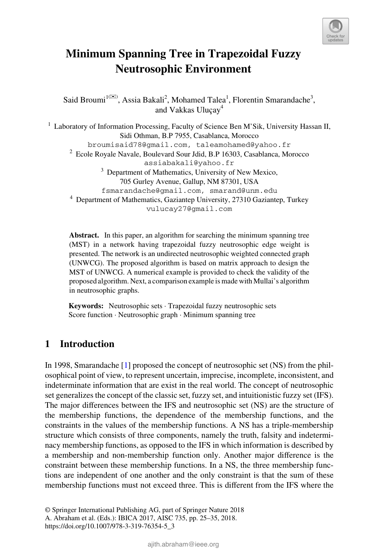

# **Minimum Spanning Tree in Trapezoidal Fuzzy Neutrosophic Environment**

Said Broumi<sup>1( $\boxtimes$ )</sup>, Assia Bakali<sup>2</sup>, Mohamed Talea<sup>1</sup>, Florentin Smarandache<sup>3</sup>, and Vakkas Ulucav<sup>4</sup>

<sup>1</sup> Laboratory of Information Processing, Faculty of Science Ben M'Sik, University Hassan II, Sidi Othman, B.P 7955, Casablanca, Morocco broumisaid78@gmail.com, taleamohamed@yahoo.fr <sup>2</sup> Ecole Royale Navale, Boulevard Sour Jdid, B.P 16303, Casablanca, Morocco assiabakali@yahoo.fr <sup>3</sup> Department of Mathematics, University of New Mexico, 705 Gurley Avenue, Gallup, NM 87301, USA fsmarandache@gmail.com, smarand@unm.edu <sup>4</sup> Department of Mathematics, Gaziantep University, 27310 Gaziantep, Turkey vulucay27@gmail.com

Abstract. In this paper, an algorithm for searching the minimum spanning tree (MST) in a network having trapezoidal fuzzy neutrosophic edge weight is presented. The network is an undirected neutrosophic weighted connected graph (UNWCG). The proposed algorithm is based on matrix approach to design the MST of UNWCG. A numerical example is provided to check the validity of the proposed algorithm. Next, a comparison example is made with Mullai's algorithm in neutrosophic graphs.

**Keywords:** Neutrosophic sets · Trapezoidal fuzzy neutrosophic sets Score function · Neutrosophic graph · Minimum spanning tree

### **1 Introduction**

In 1998, Smarandache [1] proposed the concept of neutrosophic set (NS) from the phil‐ osophical point of view, to represent uncertain, imprecise, incomplete, inconsistent, and indeterminate information that are exist in the real world. The concept of neutrosophic set generalizes the concept of the classic set, fuzzy set, and intuitionistic fuzzy set (IFS). The major differences between the IFS and neutrosophic set (NS) are the structure of the membership functions, the dependence of the membership functions, and the constraints in the values of the membership functions. A NS has a triple-membership structure which consists of three components, namely the truth, falsity and indeterminacy membership functions, as opposed to the IFS in which information is described by a membership and non-membership function only. Another major difference is the constraint between these membership functions. In a NS, the three membership functions are independent of one another and the only constraint is that the sum of these membership functions must not exceed three. This is different from the IFS where the

© Springer International Publishing AG, part of Springer Nature 2018 A. Abraham et al. (Eds.): IBICA 2017, AISC 735, pp. 25–35, 2018. https://doi.org/10.1007/978-3-319-76354-5\_3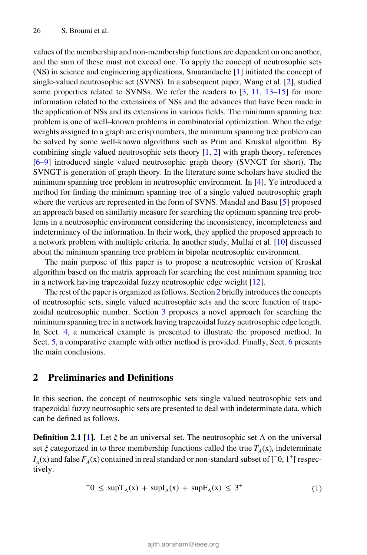values of the membership and non-membership functions are dependent on one another, and the sum of these must not exceed one. To apply the concept of neutrosophic sets (NS) in science and engineering applications, Smarandache [1] initiated the concept of single-valued neutrosophic set (SVNS). In a subsequent paper, Wang et al. [2], studied some properties related to SVNSs. We refer the readers to  $[3, 11, 13-15]$  for more information related to the extensions of NSs and the advances that have been made in the application of NSs and its extensions in various fields. The minimum spanning tree problem is one of well–known problems in combinatorial optimization. When the edge weights assigned to a graph are crisp numbers, the minimum spanning tree problem can be solved by some well-known algorithms such as Prim and Kruskal algorithm. By combining single valued neutrosophic sets theory [1, 2] with graph theory, references [6–9] introduced single valued neutrosophic graph theory (SVNGT for short). The SVNGT is generation of graph theory. In the literature some scholars have studied the minimum spanning tree problem in neutrosophic environment. In [4], Ye introduced a method for finding the minimum spanning tree of a single valued neutrosophic graph where the vertices are represented in the form of SVNS. Mandal and Basu [5] proposed an approach based on similarity measure for searching the optimum spanning tree prob‐ lems in a neutrosophic environment considering the inconsistency, incompleteness and indeterminacy of the information. In their work, they applied the proposed approach to a network problem with multiple criteria. In another study, Mullai et al. [10] discussed about the minimum spanning tree problem in bipolar neutrosophic environment.

The main purpose of this paper is to propose a neutrosophic version of Kruskal algorithm based on the matrix approach for searching the cost minimum spanning tree in a network having trapezoidal fuzzy neutrosophic edge weight [12].

The rest of the paper is organized as follows. Section 2 briefly introduces the concepts of neutrosophic sets, single valued neutrosophic sets and the score function of trape‐ zoidal neutrosophic number. Section 3 proposes a novel approach for searching the minimum spanning tree in a network having trapezoidal fuzzy neutrosophic edge length. In Sect. 4, a numerical example is presented to illustrate the proposed method. In Sect. 5, a comparative example with other method is provided. Finally, Sect. 6 presents the main conclusions.

### **2 Preliminaries and Definitions**

In this section, the concept of neutrosophic sets single valued neutrosophic sets and trapezoidal fuzzy neutrosophic sets are presented to deal with indeterminate data, which can be defined as follows.

**Definition 2.1 [1].** Let  $\xi$  be an universal set. The neutrosophic set A on the universal set  $\xi$  categorized in to three membership functions called the true  $T_A(x)$ , indeterminate  $I_A(x)$  and false  $F_A(x)$  contained in real standard or non-standard subset of ]<sup>−0</sup>, 1<sup>+</sup>[ respectively.

$$
-0 \le \sup T_A(x) + \sup I_A(x) + \sup F_A(x) \le 3^+(1)
$$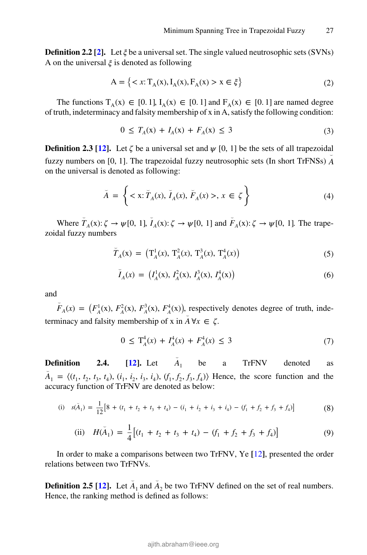**Definition 2.2 [2].** Let  $\xi$  be a universal set. The single valued neutrosophic sets (SVNs) A on the universal  $\xi$  is denoted as following

$$
A = \{ \langle x: T_A(x), I_A(x), F_A(x) > x \in \xi \} \tag{2}
$$

The functions  $T_A(x) \in [0, 1]$ ,  $I_A(x) \in [0, 1]$  and  $F_A(x) \in [0, 1]$  are named degree of truth, indeterminacy and falsity membership of x in A, satisfy the following condition:

$$
0 \le T_A(x) + I_A(x) + F_A(x) \le 3 \tag{3}
$$

**Definition 2.3 [12].** Let  $\zeta$  be a universal set and  $\psi$  [0, 1] be the sets of all trapezoidal fuzzy numbers on [0, 1]. The trapezoidal fuzzy neutrosophic sets (In short TrFNSs)  $\overline{A}$ on the universal is denoted as following:

$$
\bar{A} = \left\{ \langle x; \bar{T}_A(x), \bar{I}_A(x), \bar{F}_A(x) \rangle, x \in \zeta \right\} \tag{4}
$$

Where  $\overline{T}_A(x)$ :  $\zeta \to \psi[0, 1]$ ,  $\overline{I}_A(x)$ :  $\zeta \to \psi[0, 1]$  and  $\overline{F}_A(x)$ :  $\zeta \to \psi[0, 1]$ . The trapezoidal fuzzy numbers

$$
\tilde{T}_A(x) = \left( T_A^1(x), T_A^2(x), T_A^3(x), T_A^4(x) \right)
$$
 (5)

$$
\tilde{I}_A(x) = (I_A^1(x), I_A^2(x), I_A^3(x), I_A^4(x))
$$
\n(6)

and

 $\tilde{F}_A(x) = (F_A^1(x), F_A^2(x), F_A^3(x), F_A^4(x))$ , respectively denotes degree of truth, indeterminacy and falsity membership of x in  $\overline{A}$   $\forall x \in \zeta$ .

$$
0 \leq T_A^4(x) + I_A^4(x) + F_A^4(x) \leq 3 \tag{7}
$$

**Definition** 2.4. [12]. Let  $\overrightarrow{A_1}$ be a TrFNV denoted as  $\tilde{A}_1 = \langle (t_1, t_2, t_3, t_4), (i_1, i_2, i_3, i_4), (f_1, f_2, f_3, f_4) \rangle$  Hence, the score function and the accuracy function of TrFNV are denoted as below:

(i) 
$$
s(\tilde{A}_1) = \frac{1}{12} [8 + (t_1 + t_2 + t_3 + t_4) - (i_1 + i_2 + i_3 + i_4) - (f_1 + f_2 + f_3 + f_4)]
$$
 (8)

(ii) 
$$
H(\tilde{A}_1) = \frac{1}{4} \left[ (t_1 + t_2 + t_3 + t_4) - (f_1 + f_2 + f_3 + f_4) \right]
$$
 (9)

In order to make a comparisons between two TrFNV, Ye **[**12**]**, presented the order relations between two TrFNVs.

**Definition 2.5 [12].** Let  $\tilde{A}_1$  and  $\tilde{A}_2$  be two TrFNV defined on the set of real numbers. Hence, the ranking method is defined as follows:

#### ajith.abraham@ieee.org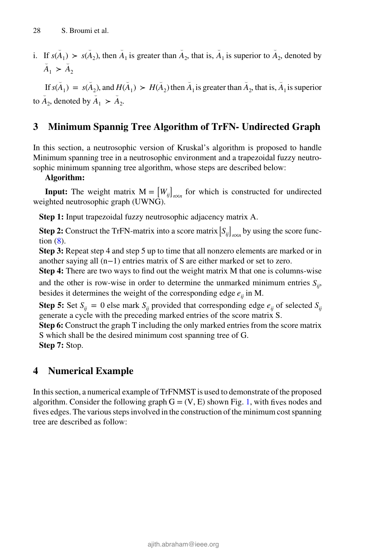i. If  $s(\overline{A}_1) > s(\overline{A}_2)$ , then  $\overline{A}_1$  is greater than  $\overline{A}_2$ , that is,  $\overline{A}_1$  is superior to  $\overline{A}_2$ , denoted by  $\bar{A}_1 > \bar{A}_2$ 

If  $s(A_1) = s(A_2)$ , and  $H(A_1) > H(A_2)$  then  $A_1$  is greater than  $A_2$ , that is,  $A_1$  is superior to  $\check{A}_2$ , denoted by  $\check{A}_1 > \check{A}_2$ .

### **3 Minimum Spannig Tree Algorithm of TrFN- Undirected Graph**

In this section, a neutrosophic version of Kruskal's algorithm is proposed to handle Minimum spanning tree in a neutrosophic environment and a trapezoidal fuzzy neutro‐ sophic minimum spanning tree algorithm, whose steps are described below:

#### **Algorithm:**

**Input:** The weight matrix  $M = \left[W_{ij}\right]_{n \times n}$  for which is constructed for undirected weighted neutrosophic graph (UWNG).

**Step 1:** Input trapezoidal fuzzy neutrosophic adjacency matrix A.

**Step 2:** Construct the TrFN-matrix into a score matrix  $[S_{ij}]_{n\times n}$  by using the score function (8).

**Step 3:** Repeat step 4 and step 5 up to time that all nonzero elements are marked or in another saying all (n−1) entries matrix of S are either marked or set to zero.

**Step 4:** There are two ways to find out the weight matrix M that one is columns-wise

and the other is row-wise in order to determine the unmarked minimum entries  $S_{ij}$ , besides it determines the weight of the corresponding edge  $e_{ij}$  in M.

**Step 5:** Set  $S_{ij} = 0$  else mark  $S_{ij}$  provided that corresponding edge  $e_{ij}$  of selected  $S_{ij}$ generate a cycle with the preceding marked entries of the score matrix S.

**Step 6:** Construct the graph T including the only marked entries from the score matrix S which shall be the desired minimum cost spanning tree of G.

**Step 7:** Stop.

### **4 Numerical Example**

In this section, a numerical example of TrFNMST is used to demonstrate of the proposed algorithm. Consider the following graph  $G = (V, E)$  shown Fig. 1, with fives nodes and fives edges. The various steps involved in the construction of the minimum cost spanning tree are described as follow: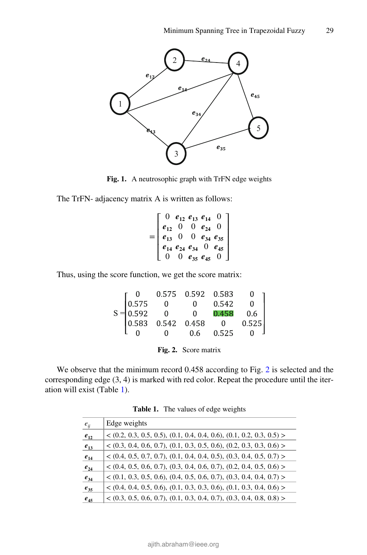

**Fig. 1.** A neutrosophic graph with TrFN edge weights

The TrFN- adjacency matrix A is written as follows:

$$
= \begin{bmatrix} 0 & e_{12} & e_{13} & e_{14} & 0 \\ e_{12} & 0 & 0 & e_{24} & 0 \\ e_{13} & 0 & 0 & e_{34} & e_{35} \\ e_{14} & e_{24} & e_{34} & 0 & e_{45} \\ 0 & 0 & e_{35} & e_{45} & 0 \end{bmatrix}
$$

Thus, using the score function, we get the score matrix:

$$
\mathbf{S} = \begin{bmatrix} 0 & 0.575 & 0.592 & 0.583 & 0 \\ 0.575 & 0 & 0 & 0.542 & 0 \\ 0.592 & 0 & 0 & 0.458 & 0.6 \\ 0.583 & 0.542 & 0.458 & 0 & 0.525 \\ 0 & 0 & 0.6 & 0.525 & 0 \end{bmatrix}
$$

**Fig. 2.** Score matrix

We observe that the minimum record 0.458 according to Fig. 2 is selected and the corresponding edge  $(3, 4)$  is marked with red color. Repeat the procedure until the iteration will exist (Table 1).

**Table 1.** The values of edge weights

| $e_{ij}$ | Edge weights                                                                       |
|----------|------------------------------------------------------------------------------------|
| $e_{12}$ | $\langle (0.2, 0.3, 0.5, 0.5), (0.1, 0.4, 0.4, 0.6), (0.1, 0.2, 0.3, 0.5) \rangle$ |
| $e_{13}$ | $\langle (0.3, 0.4, 0.6, 0.7), (0.1, 0.3, 0.5, 0.6), (0.2, 0.3, 0.3, 0.6) \rangle$ |
| $e_{14}$ | $\langle (0.4, 0.5, 0.7, 0.7), (0.1, 0.4, 0.4, 0.5), (0.3, 0.4, 0.5, 0.7) \rangle$ |
| $e_{24}$ | $\langle (0.4, 0.5, 0.6, 0.7), (0.3, 0.4, 0.6, 0.7), (0.2, 0.4, 0.5, 0.6) \rangle$ |
| $e_{34}$ | $\langle (0.1, 0.3, 0.5, 0.6), (0.4, 0.5, 0.6, 0.7), (0.3, 0.4, 0.4, 0.7) \rangle$ |
| $e_{35}$ | $(0.4, 0.4, 0.5, 0.6), (0.1, 0.3, 0.3, 0.6), (0.1, 0.3, 0.4, 0.6)$                 |
| $e_{45}$ | $\langle (0.3, 0.5, 0.6, 0.7), (0.1, 0.3, 0.4, 0.7), (0.3, 0.4, 0.8, 0.8) \rangle$ |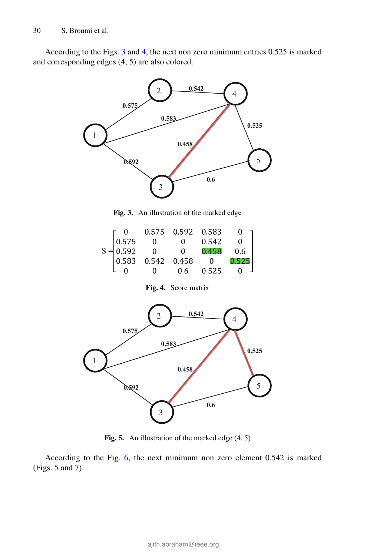According to the Figs. 3 and 4, the next non zero minimum entries 0.525 is marked and corresponding edges (4, 5) are also colored.



**Fig. 3.** An illustration of the marked edge



**Fig. 5.** An illustration of the marked edge (4, 5)

According to the Fig. 6, the next minimum non zero element 0.542 is marked (Figs. 5 and 7).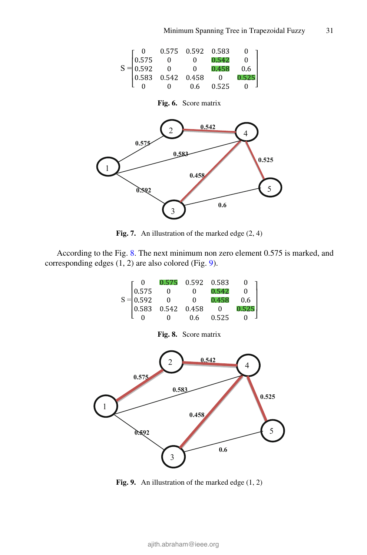

Fig. 7. An illustration of the marked edge  $(2, 4)$ 

According to the Fig. 8. The next minimum non zero element 0.575 is marked, and corresponding edges (1, 2) are also colored (Fig. 9).



Fig. 9. An illustration of the marked edge  $(1, 2)$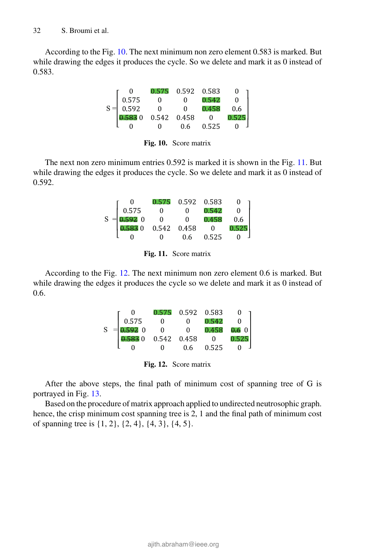According to the Fig. 10. The next minimum non zero element 0.583 is marked. But while drawing the edges it produces the cycle. So we delete and mark it as 0 instead of 0.583.

|                                                             |                |     | $0.575$ 0.592 0.583     | $\overline{\phantom{0}}$ |
|-------------------------------------------------------------|----------------|-----|-------------------------|--------------------------|
| $S = \begin{bmatrix} 0 \\ 0.575 \\ 0.592 \end{bmatrix}$     | $\overline{0}$ |     | 0.542<br>0.458          |                          |
|                                                             | $\overline{0}$ |     |                         | 0.6                      |
| $\begin{array}{cccc} 0.583 & 0 & 0.542 & 0.458 \end{array}$ |                |     | $\overline{\mathbf{0}}$ | 0.525                    |
|                                                             | $\Omega$       | 0.6 | 0.525                   |                          |

| Fig. 10. Score matrix |  |  |
|-----------------------|--|--|
|-----------------------|--|--|

The next non zero minimum entries 0.592 is marked it is shown in the Fig. 11. But while drawing the edges it produces the cycle. So we delete and mark it as 0 instead of 0.592.

|           | 0.575          |       | 0.592 0.583 |       |
|-----------|----------------|-------|-------------|-------|
| 0.575     |                |       | 0.542       |       |
| $0.592$ 0 | $\overline{0}$ |       | 0.458       | 0.6   |
| 0.5830    | 0.542          | 0.458 |             | 0.525 |
|           |                | 0.6   | 0.525       |       |

**Fig. 11.** Score matrix

According to the Fig. 12. The next minimum non zero element 0.6 is marked. But while drawing the edges it produces the cycle so we delete and mark it as 0 instead of 0.6.

| $=\begin{bmatrix} 0 & {\bf 0.575} & 0.592 & 0.583 & 0 \\ 0.575 & 0 & 0 & {\bf 0.542} & 0 \\ {\bf 0.592} & 0 & 0 & {\bf 0.458} & {\bf 0.6} & 0 \\ {\bf 0.583} & 0 & 0.542 & 0.458 & 0 & {\bf 0.525} \\ 0 & 0 & 0.6 & 0.525 & 0 \end{bmatrix}$ |  |  |
|----------------------------------------------------------------------------------------------------------------------------------------------------------------------------------------------------------------------------------------------|--|--|
|                                                                                                                                                                                                                                              |  |  |
|                                                                                                                                                                                                                                              |  |  |
|                                                                                                                                                                                                                                              |  |  |
|                                                                                                                                                                                                                                              |  |  |
|                                                                                                                                                                                                                                              |  |  |

**Fig. 12.** Score matrix

After the above steps, the final path of minimum cost of spanning tree of G is portrayed in Fig. 13.

Based on the procedure of matrix approach applied to undirected neutrosophic graph. hence, the crisp minimum cost spanning tree is 2, 1 and the final path of minimum cost of spanning tree is {1, 2}, {2, 4}, {4, 3}, {4, 5}.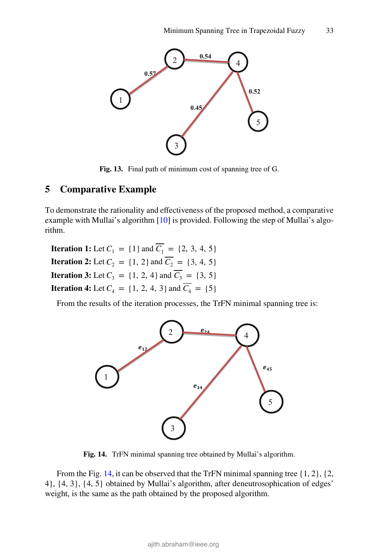

**Fig. 13.** Final path of minimum cost of spanning tree of G.

### **5 Comparative Example**

To demonstrate the rationality and effectiveness of the proposed method, a comparative example with Mullai's algorithm  $[10]$  is provided. Following the step of Mullai's algorithm.

**Iteration 1:** Let  $C_1 = \{1\}$  and  $\overline{C_1} = \{2, 3, 4, 5\}$ **Iteration 2:** Let  $C_2 = \{1, 2\}$  and  $\overline{C_2} = \{3, 4, 5\}$ **Iteration 3:** Let  $C_3 = \{1, 2, 4\}$  and  $\overline{C_3} = \{3, 5\}$ **Iteration 4:** Let  $C_4 = \{1, 2, 4, 3\}$  and  $\overline{C_4} = \{5\}$ 

From the results of the iteration processes, the TrFN minimal spanning tree is:



**Fig. 14.** TrFN minimal spanning tree obtained by Mullai's algorithm.

From the Fig. 14, it can be observed that the TrFN minimal spanning tree {1, 2}, {2, 4}, {4, 3}, {4, 5} obtained by Mullai's algorithm, after deneutrosophication of edges' weight, is the same as the path obtained by the proposed algorithm.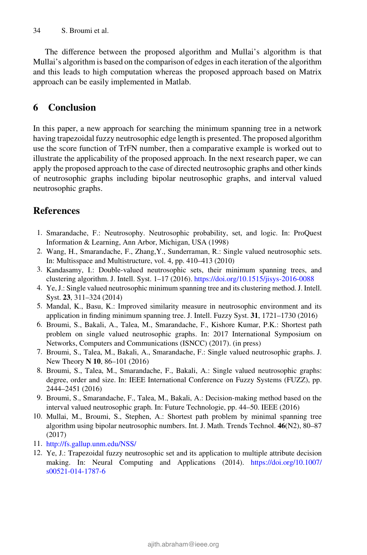The difference between the proposed algorithm and Mullai's algorithm is that Mullai's algorithm is based on the comparison of edges in each iteration of the algorithm and this leads to high computation whereas the proposed approach based on Matrix approach can be easily implemented in Matlab.

### **6 Conclusion**

In this paper, a new approach for searching the minimum spanning tree in a network having trapezoidal fuzzy neutrosophic edge length is presented. The proposed algorithm use the score function of TrFN number, then a comparative example is worked out to illustrate the applicability of the proposed approach. In the next research paper, we can apply the proposed approach to the case of directed neutrosophic graphs and other kinds of neutrosophic graphs including bipolar neutrosophic graphs, and interval valued neutrosophic graphs.

## **References**

- 1. Smarandache, F.: Neutrosophy. Neutrosophic probability, set, and logic. In: ProQuest Information & Learning, Ann Arbor, Michigan, USA (1998)
- 2. Wang, H., Smarandache, F., Zhang,Y., Sunderraman, R.: Single valued neutrosophic sets. In: Multisspace and Multistructure, vol. 4, pp. 410–413 (2010)
- 3. Kandasamy, I.: Double-valued neutrosophic sets, their minimum spanning trees, and clustering algorithm. J. Intell. Syst. 1–17 (2016). [https://doi.org/10.1515/jisys-2016-0088](http://dx.doi.org/10.1515/jisys-2016-0088)
- 4. Ye, J.: Single valued neutrosophic minimum spanning tree and its clustering method. J. Intell. Syst. **23**, 311–324 (2014)
- 5. Mandal, K., Basu, K.: Improved similarity measure in neutrosophic environment and its application in finding minimum spanning tree. J. Intell. Fuzzy Syst. **31**, 1721–1730 (2016)
- 6. Broumi, S., Bakali, A., Talea, M., Smarandache, F., Kishore Kumar, P.K.: Shortest path problem on single valued neutrosophic graphs. In: 2017 International Symposium on Networks, Computers and Communications (ISNCC) (2017). (in press)
- 7. Broumi, S., Talea, M., Bakali, A., Smarandache, F.: Single valued neutrosophic graphs. J. New Theory **N 10**, 86–101 (2016)
- 8. Broumi, S., Talea, M., Smarandache, F., Bakali, A.: Single valued neutrosophic graphs: degree, order and size. In: IEEE International Conference on Fuzzy Systems (FUZZ), pp. 2444–2451 (2016)
- 9. Broumi, S., Smarandache, F., Talea, M., Bakali, A.: Decision-making method based on the interval valued neutrosophic graph. In: Future Technologie, pp. 44–50. IEEE (2016)
- 10. Mullai, M., Broumi, S., Stephen, A.: Shortest path problem by minimal spanning tree algorithm using bipolar neutrosophic numbers. Int. J. Math. Trends Technol. **46**(N2), 80–87 (2017)
- 11. <http://fs.gallup.unm.edu/NSS/>
- 12. Ye, J.: Trapezoidal fuzzy neutrosophic set and its application to multiple attribute decision making. In: Neural Computing and Applications (2014). [https://doi.org/10.1007/](http://dx.doi.org/10.1007/s00521-014-1787-6) [s00521-014-1787-6](http://dx.doi.org/10.1007/s00521-014-1787-6)